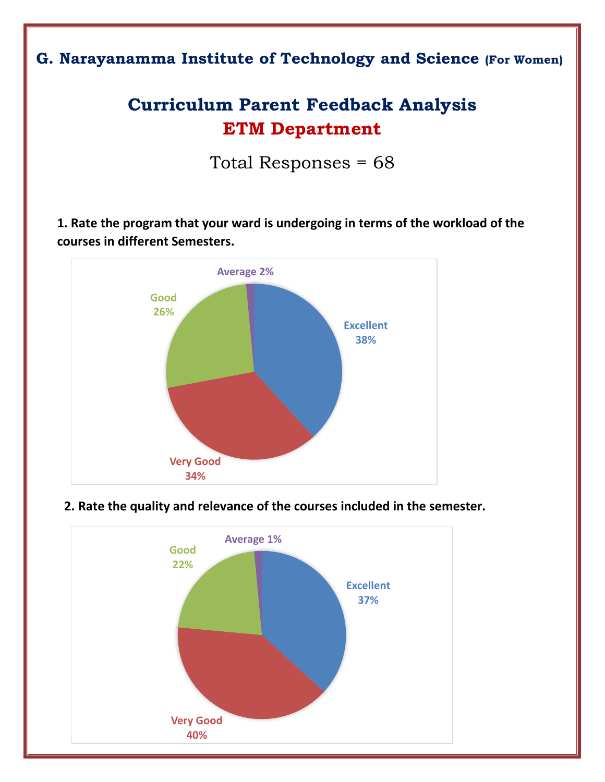## **G. Narayanamma Institute of Technology and Science (For Women)**

# **Curriculum Parent Feedback Analysis ETM Department**

Total Responses = 68

**1. Rate the program that your ward is undergoing in terms of the workload of the courses in different Semesters.**





#### **2. Rate the quality and relevance of the courses included in the semester.**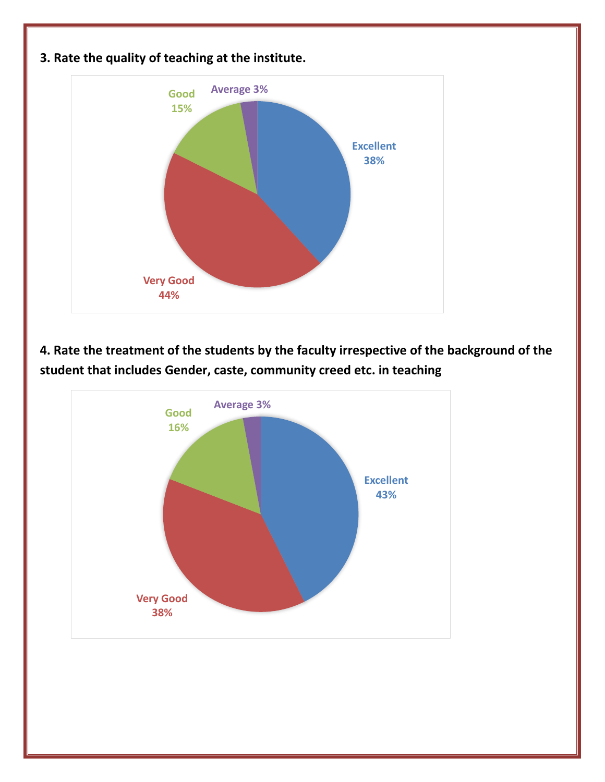

### **4. Rate the treatment of the students by the faculty irrespective of the background of the student that includes Gender, caste, community creed etc. in teaching**



### **3. Rate the quality of teaching at the institute.**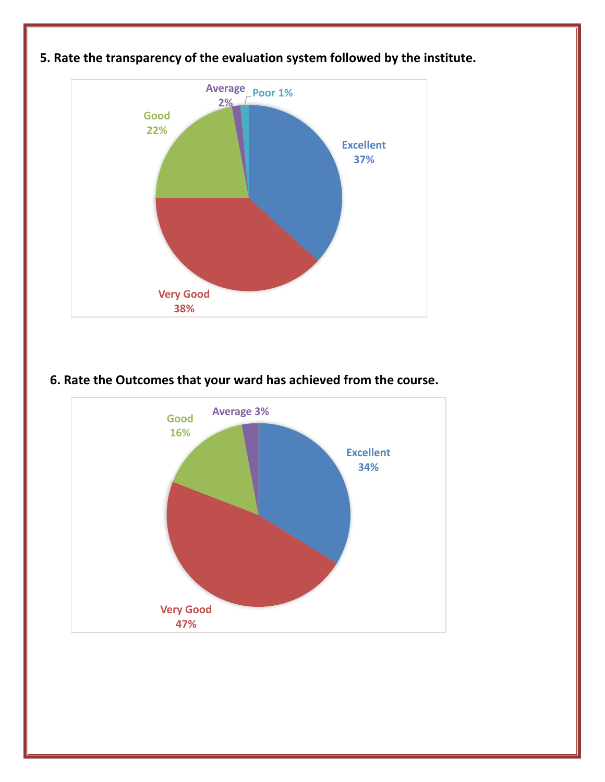

### **5. Rate the transparency of the evaluation system followed by the institute.**

#### **6. Rate the Outcomes that your ward has achieved from the course.**

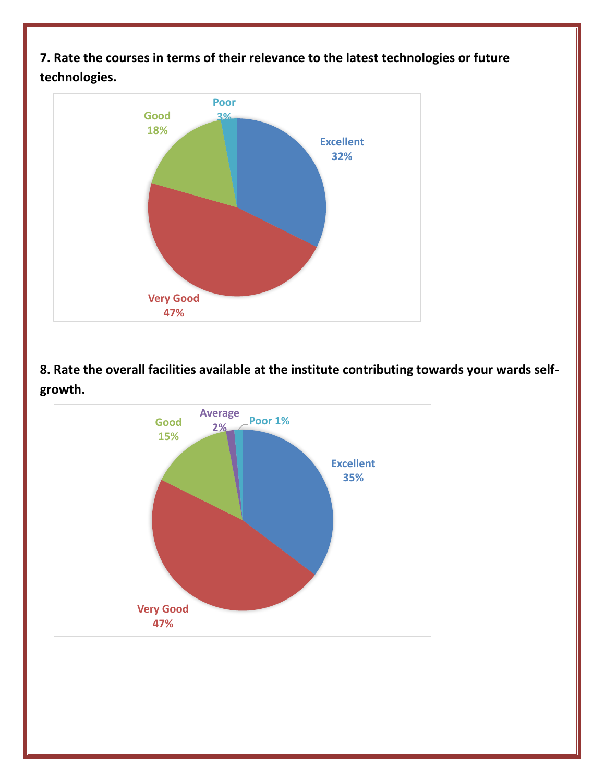**7. Rate the courses in terms of their relevance to the latest technologies or future technologies.**



**8. Rate the overall facilities available at the institute contributing towards your wards selfgrowth.**

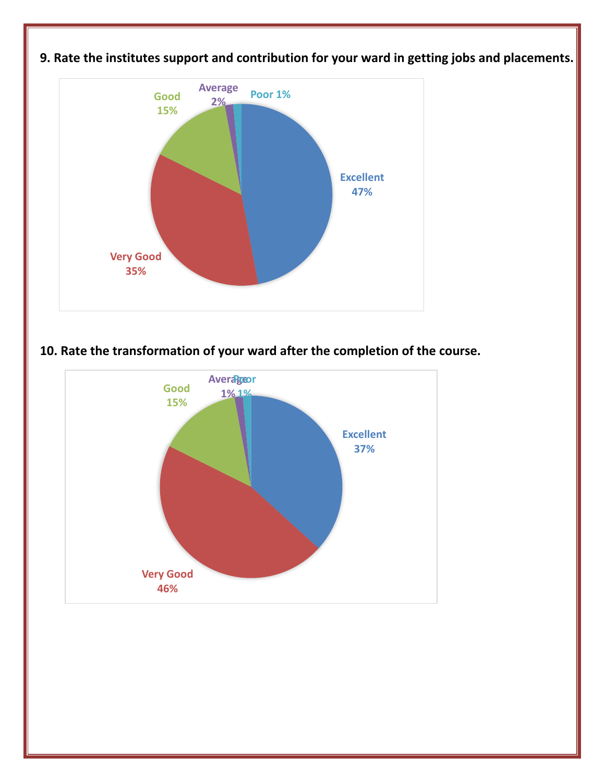

### **9. Rate the institutes support and contribution for your ward in getting jobs and placements.**

#### **10. Rate the transformation of your ward after the completion of the course.**